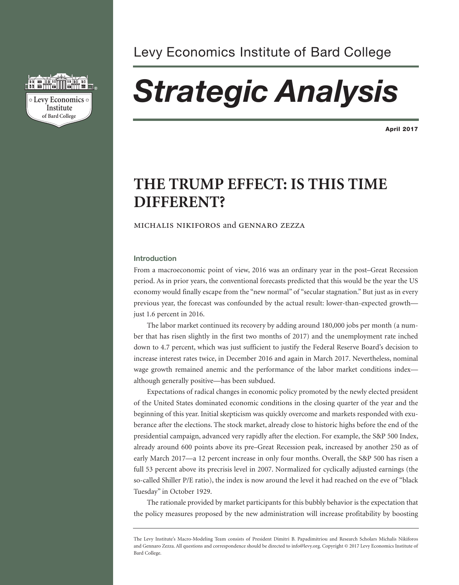## **of Bard College Levy Economics Institute**

### Levy Economics Institute of Bard College

# *Strategic Analysis*

**April 2017**

## **THE TRUMP EFFECT: IS THIS TIME DIFFERENT?**

#### MICHALIS NIKIFOROS and GENNARO ZEZZA

#### **Introduction**

From a macroeconomic point of view, 2016 was an ordinary year in the post–Great Recession period. As in prior years, the conventional forecasts predicted that this would be the year the US economy would finally escape from the "new normal" of "secular stagnation." But just as in every previous year, the forecast was confounded by the actual result: lower-than-expected growth just 1.6 percent in 2016.

The labor market continued its recovery by adding around 180,000 jobs per month (a number that has risen slightly in the first two months of 2017) and the unemployment rate inched down to 4.7 percent, which was just sufficient to justify the Federal Reserve Board's decision to increase interest rates twice, in December 2016 and again in March 2017. Nevertheless, nominal wage growth remained anemic and the performance of the labor market conditions index although generally positive—has been subdued.

 Expectations of radical changes in economic policy promoted by the newly elected president of the United States dominated economic conditions in the closing quarter of the year and the beginning of this year. Initial skepticism was quickly overcome and markets responded with exuberance after the elections. The stock market, already close to historic highs before the end of the presidential campaign, advanced very rapidly after the election. For example, the S&P 500 Index, already around 600 points above its pre–Great Recession peak, increased by another 250 as of early March 2017—a 12 percent increase in only four months. Overall, the S&P 500 has risen a full 53 percent above its precrisis level in 2007. Normalized for cyclically adjusted earnings (the so-called Shiller P/E ratio), the index is now around the level it had reached on the eve of "black Tuesday" in October 1929.

The rationale provided by market participants for this bubbly behavior is the expectation that the policy measures proposed by the new administration will increase profitability by boosting

The Levy Institute's Macro-Modeling Team consists of President Dimitri B. Papadimitriou and Research Scholars Michalis Nikiforos and Gennaro Zezza. All questions and correspondence should be directed to info@levy.org. Copyright © 2017 Levy Economics Institute of Bard College.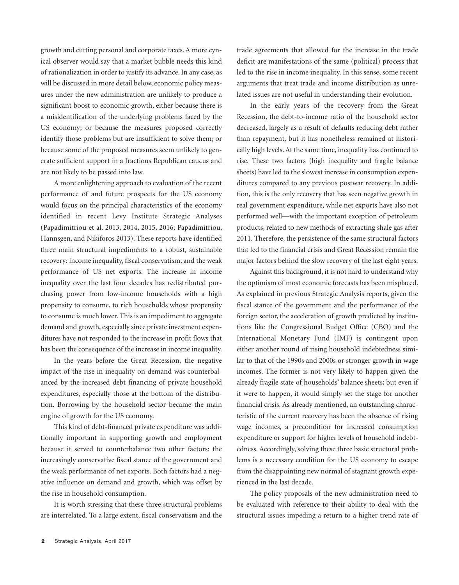growth and cutting personal and corporate taxes.A more cynical observer would say that a market bubble needs this kind of rationalization in order to justify its advance. In any case, as will be discussed in more detail below, economic policy measures under the new administration are unlikely to produce a significant boost to economic growth, either because there is a misidentification of the underlying problems faced by the US economy; or because the measures proposed correctly identify those problems but are insufficient to solve them; or because some of the proposed measures seem unlikely to generate sufficient support in a fractious Republican caucus and are not likely to be passed into law.

A more enlightening approach to evaluation of the recent performance of and future prospects for the US economy would focus on the principal characteristics of the economy identified in recent Levy Institute Strategic Analyses (Papadimitriou et al. 2013, 2014, 2015, 2016; Papadimitriou, Hannsgen, and Nikiforos 2013). These reports have identified three main structural impediments to a robust, sustainable recovery: income inequality, fiscal conservatism, and the weak performance of US net exports. The increase in income inequality over the last four decades has redistributed purchasing power from low-income households with a high propensity to consume, to rich households whose propensity to consume is much lower. This is an impediment to aggregate demand and growth, especially since private investment expenditures have not responded to the increase in profit flows that has been the consequence of the increase in income inequality.

 In the years before the Great Recession, the negative impact of the rise in inequality on demand was counterbalanced by the increased debt financing of private household expenditures, especially those at the bottom of the distribution. Borrowing by the household sector became the main engine of growth for the US economy.

This kind of debt-financed private expenditure was additionally important in supporting growth and employment because it served to counterbalance two other factors: the increasingly conservative fiscal stance of the government and the weak performance of net exports. Both factors had a negative influence on demand and growth, which was offset by the rise in household consumption.

It is worth stressing that these three structural problems are interrelated. To a large extent, fiscal conservatism and the

trade agreements that allowed for the increase in the trade deficit are manifestations of the same (political) process that led to the rise in income inequality. In this sense, some recent arguments that treat trade and income distribution as unrelated issues are not useful in understanding their evolution.

In the early years of the recovery from the Great Recession, the debt-to-income ratio of the household sector decreased, largely as a result of defaults reducing debt rather than repayment, but it has nonetheless remained at historically high levels. At the same time, inequality has continued to rise. These two factors (high inequality and fragile balance sheets) have led to the slowest increase in consumption expenditures compared to any previous postwar recovery. In addition, this is the only recovery that has seen negative growth in real government expenditure, while net exports have also not performed well—with the important exception of petroleum products, related to new methods of extracting shale gas after 2011. Therefore, the persistence of the same structural factors that led to the financial crisis and Great Recession remain the major factors behind the slow recovery of the last eight years.

Against this background, it is not hard to understand why the optimism of most economic forecasts has been misplaced. As explained in previous Strategic Analysis reports, given the fiscal stance of the government and the performance of the foreign sector, the acceleration of growth predicted by institutions like the Congressional Budget Office (CBO) and the International Monetary Fund (IMF) is contingent upon either another round of rising household indebtedness similar to that of the 1990s and 2000s or stronger growth in wage incomes. The former is not very likely to happen given the already fragile state of households' balance sheets; but even if it were to happen, it would simply set the stage for another financial crisis. As already mentioned, an outstanding characteristic of the current recovery has been the absence of rising wage incomes, a precondition for increased consumption expenditure or support for higher levels of household indebtedness. Accordingly, solving these three basic structural problems is a necessary condition for the US economy to escape from the disappointing new normal of stagnant growth experienced in the last decade.

The policy proposals of the new administration need to be evaluated with reference to their ability to deal with the structural issues impeding a return to a higher trend rate of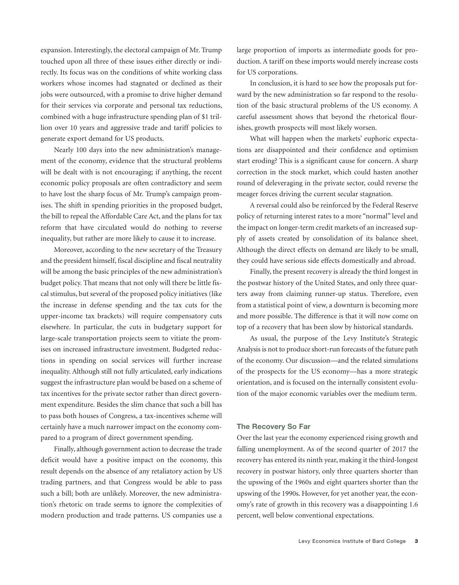expansion. Interestingly, the electoral campaign of Mr. Trump touched upon all three of these issues either directly or indirectly. Its focus was on the conditions of white working class workers whose incomes had stagnated or declined as their jobs were outsourced, with a promise to drive higher demand for their services via corporate and personal tax reductions, combined with a huge infrastructure spending plan of \$1 trillion over 10 years and aggressive trade and tariff policies to generate export demand for US products.

Nearly 100 days into the new administration's management of the economy, evidence that the structural problems will be dealt with is not encouraging; if anything, the recent economic policy proposals are often contradictory and seem to have lost the sharp focus of Mr. Trump's campaign promises. The shift in spending priorities in the proposed budget, the bill to repeal the Affordable Care Act, and the plans for tax reform that have circulated would do nothing to reverse inequality, but rather are more likely to cause it to increase.

Moreover, according to the new secretary of the Treasury and the president himself, fiscal discipline and fiscal neutrality will be among the basic principles of the new administration's budget policy. That means that not only will there be little fiscal stimulus, but several of the proposed policy initiatives (like the increase in defense spending and the tax cuts for the upper-income tax brackets) will require compensatory cuts elsewhere. In particular, the cuts in budgetary support for large-scale transportation projects seem to vitiate the promises on increased infrastructure investment. Budgeted reductions in spending on social services will further increase inequality. Although still not fully articulated, early indications suggest the infrastructure plan would be based on a scheme of tax incentives for the private sector rather than direct government expenditure. Besides the slim chance that such a bill has to pass both houses of Congress, a tax-incentives scheme will certainly have a much narrower impact on the economy compared to a program of direct government spending.

Finally, although government action to decrease the trade deficit would have a positive impact on the economy, this result depends on the absence of any retaliatory action by US trading partners, and that Congress would be able to pass such a bill; both are unlikely. Moreover, the new administration's rhetoric on trade seems to ignore the complexities of modern production and trade patterns. US companies use a

large proportion of imports as intermediate goods for production. A tariff on these imports would merely increase costs for US corporations.

In conclusion, it is hard to see how the proposals put forward by the new administration so far respond to the resolution of the basic structural problems of the US economy. A careful assessment shows that beyond the rhetorical flourishes, growth prospects will most likely worsen.

What will happen when the markets' euphoric expectations are disappointed and their confidence and optimism start eroding? This is a significant cause for concern. A sharp correction in the stock market, which could hasten another round of deleveraging in the private sector, could reverse the meager forces driving the current secular stagnation.

A reversal could also be reinforced by the Federal Reserve policy of returning interest rates to a more "normal" level and the impact on longer-term credit markets of an increased supply of assets created by consolidation of its balance sheet. Although the direct effects on demand are likely to be small, they could have serious side effects domestically and abroad.

Finally, the present recovery is already the third longest in the postwar history of the United States, and only three quarters away from claiming runner-up status. Therefore, even from a statistical point of view, a downturn is becoming more and more possible. The difference is that it will now come on top of a recovery that has been slow by historical standards.

As usual, the purpose of the Levy Institute's Strategic Analysis is not to produce short-run forecasts of the future path of the economy. Our discussion—and the related simulations of the prospects for the US economy—has a more strategic orientation, and is focused on the internally consistent evolution of the major economic variables over the medium term.

#### **The Recovery So Far**

Over the last year the economy experienced rising growth and falling unemployment. As of the second quarter of 2017 the recovery has entered its ninth year, making it the third-longest recovery in postwar history, only three quarters shorter than the upswing of the 1960s and eight quarters shorter than the upswing of the 1990s. However, for yet another year, the economy's rate of growth in this recovery was a disappointing 1.6 percent, well below conventional expectations.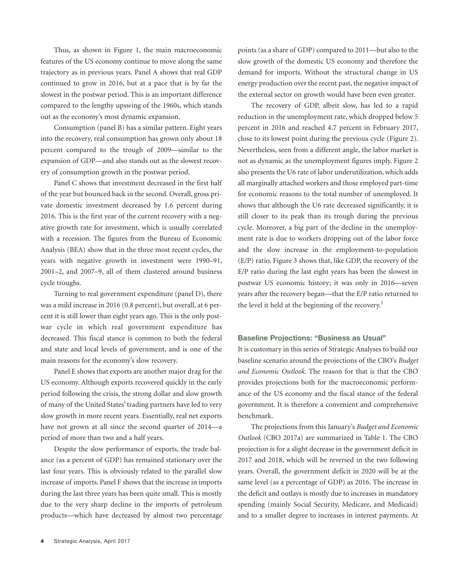Thus, as shown in Figure 1, the main macroeconomic features of the US economy continue to move along the same trajectory as in previous years. Panel A shows that real GDP continued to grow in 2016, but at a pace that is by far the slowest in the postwar period. This is an important difference compared to the lengthy upswing of the 1960s, which stands out as the economy's most dynamic expansion.

Consumption (panel B) has a similar pattern. Eight years into the recovery, real consumption has grown only about 18 percent compared to the trough of 2009—similar to the expansion of GDP—and also stands out as the slowest recovery of consumption growth in the postwar period.

Panel C shows that investment decreased in the first half of the year but bounced back in the second. Overall, gross private domestic investment decreased by 1.6 percent during 2016. This is the first year of the current recovery with a negative growth rate for investment, which is usually correlated with a recession. The figures from the Bureau of Economic Analysis (BEA) show that in the three most recent cycles, the years with negative growth in investment were 1990–91, 2001–2, and 2007–9, all of them clustered around business cycle troughs.

Turning to real government expenditure (panel D), there was a mild increase in 2016 (0.8 percent), but overall, at 6 percent it is still lower than eight years ago. This is the only postwar cycle in which real government expenditure has decreased. This fiscal stance is common to both the federal and state and local levels of government, and is one of the main reasons for the economy's slow recovery.

Panel E shows that exports are another major drag for the US economy. Although exports recovered quickly in the early period following the crisis, the strong dollar and slow growth of many of the United States' trading partners have led to very slow growth in more recent years. Essentially, real net exports have not grown at all since the second quarter of 2014—a period of more than two and a half years.

Despite the slow performance of exports, the trade balance (as a percent of GDP) has remained stationary over the last four years. This is obviously related to the parallel slow increase of imports. Panel F shows that the increase in imports during the last three years has been quite small. This is mostly due to the very sharp decline in the imports of petroleum products—which have decreased by almost two percentage

The recovery of GDP, albeit slow, has led to a rapid reduction in the unemployment rate, which dropped below 5 percent in 2016 and reached 4.7 percent in February 2017, close to its lowest point during the previous cycle (Figure 2). Nevertheless, seen from a different angle, the labor market is not as dynamic as the unemployment figures imply. Figure 2 also presents the U6 rate of labor underutilization, which adds all marginally attached workers and those employed part-time for economic reasons to the total number of unemployed. It shows that although the U6 rate decreased significantly, it is still closer to its peak than its trough during the previous cycle. Moreover, a big part of the decline in the unemployment rate is due to workers dropping out of the labor force and the slow increase in the employment-to-population (E/P) ratio. Figure 3 shows that, like GDP, the recovery of the E/P ratio during the last eight years has been the slowest in postwar US economic history; it was only in 2016—seven years after the recovery began—that the E/P ratio returned to the level it held at the beginning of the recovery.<sup>1</sup>

#### **Baseline Projections: "Business as Usual"**

It is customary in this series of Strategic Analyses to build our baseline scenario around the projections of the CBO's *Budget and Economic Outlook*. The reason for that is that the CBO provides projections both for the macroeconomic performance of the US economy and the fiscal stance of the federal government. It is therefore a convenient and comprehensive benchmark.

The projections from this January's *Budget and Economic Outlook* (CBO 2017a) are summarized in Table 1. The CBO projection is for a slight decrease in the government deficit in 2017 and 2018, which will be reversed in the two following years. Overall, the government deficit in 2020 will be at the same level (as a percentage of GDP) as 2016. The increase in the deficit and outlays is mostly due to increases in mandatory spending (mainly Social Security, Medicare, and Medicaid) and to a smaller degree to increases in interest payments. At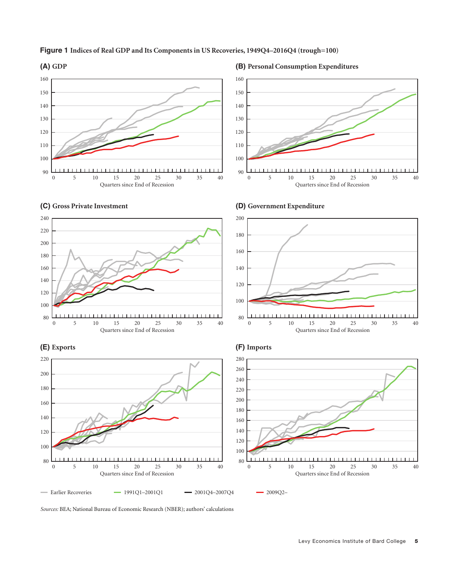

**(B) Personal Consumption Expenditures**

#### **Figure 1 Indices of Real GDP and Its Components in US Recoveries, 1949Q4–2016Q4 (trough=100)**

**(A) GDP**

*Sources:* BEA; National Bureau of Economic Research (NBER); authors' calculations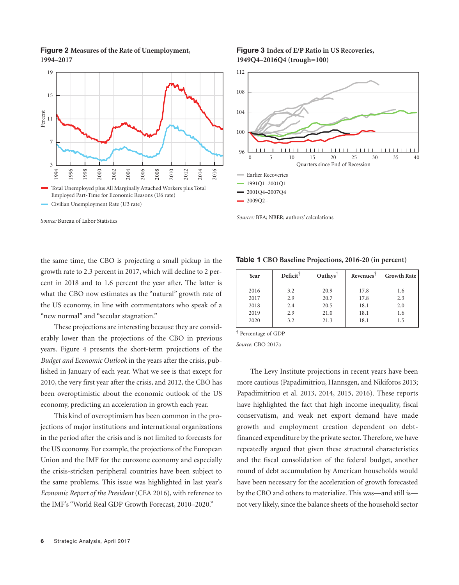**Figure 2 Measures of the Rate of Unemployment, 1994–2017**



*Source:* Bureau of Labor Statistics

#### **Figure 3 Index of E/P Ratio in US Recoveries, 1949Q4–2016Q4 (trough=100)**



*Sources:* BEA; NBER; authors' calculations

the same time, the CBO is projecting a small pickup in the growth rate to 2.3 percent in 2017, which will decline to 2 percent in 2018 and to 1.6 percent the year after. The latter is what the CBO now estimates as the "natural" growth rate of the US economy, in line with commentators who speak of a "new normal" and "secular stagnation."

These projections are interesting because they are considerably lower than the projections of the CBO in previous years. Figure 4 presents the short-term projections of the *Budget and Economic Outlook* in the years after the crisis, published in January of each year. What we see is that except for 2010, the very first year after the crisis, and 2012, the CBO has been overoptimistic about the economic outlook of the US economy, predicting an acceleration in growth each year.

This kind of overoptimism has been common in the projections of major institutions and international organizations in the period after the crisis and is not limited to forecasts for the US economy. For example, the projections of the European Union and the IMF for the eurozone economy and especially the crisis-stricken peripheral countries have been subject to the same problems. This issue was highlighted in last year's *Economic Report of the President* (CEA 2016), with reference to the IMF's "World Real GDP Growth Forecast, 2010–2020."

**Table 1 CBO Baseline Projections, 2016-20 (in percent)**

| Year | Deficit | Outlays <sup>1</sup> | Revenues | <b>Growth Rate</b> |
|------|---------|----------------------|----------|--------------------|
| 2016 | 3.2     | 20.9                 | 17.8     | 1.6                |
| 2017 | 2.9     | 20.7                 | 17.8     | 2.3                |
| 2018 | 2.4     | 20.5                 | 18.1     | 2.0                |
| 2019 | 2.9     | 21.0                 | 18.1     | 1.6                |
| 2020 | 3.2     | 21.3                 | 18.1     | 1.5                |

† Percentage of GDP

*Source:* CBO 2017a

The Levy Institute projections in recent years have been more cautious (Papadimitriou, Hannsgen, and Nikiforos 2013; Papadimitriou et al. 2013, 2014, 2015, 2016). These reports have highlighted the fact that high income inequality, fiscal conservatism, and weak net export demand have made growth and employment creation dependent on debtfinanced expenditure by the private sector. Therefore, we have repeatedly argued that given these structural characteristics and the fiscal consolidation of the federal budget, another round of debt accumulation by American households would have been necessary for the acceleration of growth forecasted by the CBO and others to materialize. This was—and still is not very likely, since the balance sheets of the household sector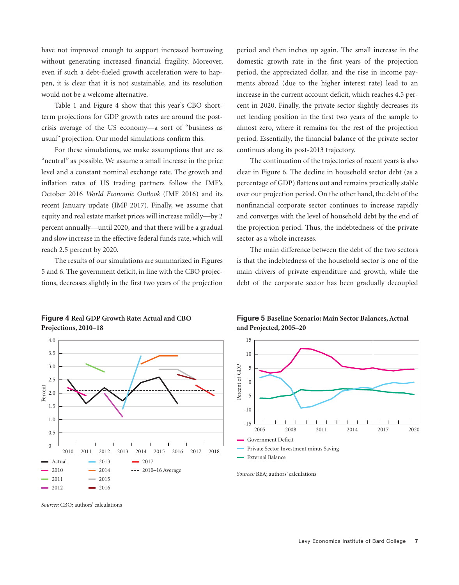have not improved enough to support increased borrowing without generating increased financial fragility. Moreover, even if such a debt-fueled growth acceleration were to happen, it is clear that it is not sustainable, and its resolution would not be a welcome alternative.

Table 1 and Figure 4 show that this year's CBO shortterm projections for GDP growth rates are around the postcrisis average of the US economy—a sort of "business as usual" projection. Our model simulations confirm this.

For these simulations, we make assumptions that are as "neutral" as possible. We assume a small increase in the price level and a constant nominal exchange rate. The growth and inflation rates of US trading partners follow the IMF's October 2016 *World Economic Outlook* (IMF 2016) and its recent January update (IMF 2017). Finally, we assume that equity and real estate market prices will increase mildly—by 2 percent annually—until 2020, and that there will be a gradual and slow increase in the effective federal funds rate, which will reach 2.5 percent by 2020.

The results of our simulations are summarized in Figures 5 and 6. The government deficit, in line with the CBO projections, decreases slightly in the first two years of the projection

period and then inches up again. The small increase in the domestic growth rate in the first years of the projection period, the appreciated dollar, and the rise in income payments abroad (due to the higher interest rate) lead to an increase in the current account deficit, which reaches 4.5 percent in 2020. Finally, the private sector slightly decreases its net lending position in the first two years of the sample to almost zero, where it remains for the rest of the projection period. Essentially, the financial balance of the private sector continues along its post-2013 trajectory.

The continuation of the trajectories of recent years is also clear in Figure 6. The decline in household sector debt (as a percentage of GDP) flattens out and remains practically stable over our projection period. On the other hand, the debt of the nonfinancial corporate sector continues to increase rapidly and converges with the level of household debt by the end of the projection period. Thus, the indebtedness of the private sector as a whole increases.

The main difference between the debt of the two sectors is that the indebtedness of the household sector is one of the main drivers of private expenditure and growth, while the debt of the corporate sector has been gradually decoupled



**Figure 4 Real GDP Growth Rate: Actual and CBO Projections, 2010–18**

**Figure 5 Baseline Scenario: Main Sector Balances, Actual and Projected, 2005–20**



*Sources:* BEA; authors' calculations

*Sources:* CBO; authors' calculations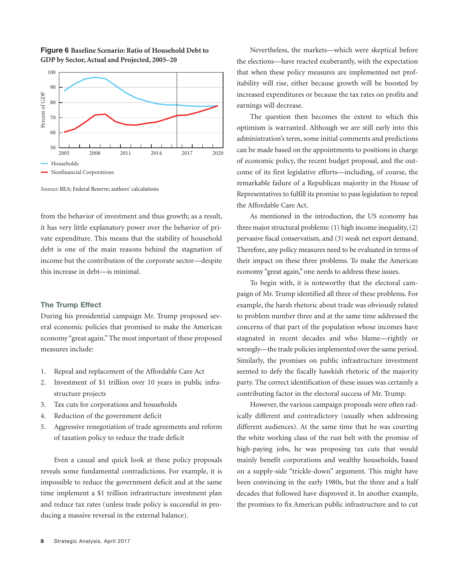

**Figure 6 Baseline Scenario: Ratio of Household Debt to GDP by Sector, Actual and Projected, 2005–20**

*Sources:* BEA; Federal Reserve; authors' calculations

from the behavior of investment and thus growth; as a result, it has very little explanatory power over the behavior of private expenditure. This means that the stability of household debt is one of the main reasons behind the stagnation of income but the contribution of the corporate sector—despite this increase in debt—is minimal.

#### **The Trump Effect**

During his presidential campaign Mr. Trump proposed several economic policies that promised to make the American economy "great again."The most important of these proposed measures include:

- 1. Repeal and replacement of the Affordable Care Act
- 2. Investment of \$1 trillion over 10 years in public infrastructure projects
- 3. Tax cuts for corporations and households
- 4. Reduction of the government deficit
- 5. Aggressive renegotiation of trade agreements and reform of taxation policy to reduce the trade deficit

Even a casual and quick look at these policy proposals reveals some fundamental contradictions. For example, it is impossible to reduce the government deficit and at the same time implement a \$1 trillion infrastructure investment plan and reduce tax rates (unless trade policy is successful in producing a massive reversal in the external balance).

Nevertheless, the markets—which were skeptical before the elections—have reacted exuberantly, with the expectation that when these policy measures are implemented net profitability will rise, either because growth will be boosted by increased expenditures or because the tax rates on profits and earnings will decrease.

 The question then becomes the extent to which this optimism is warranted. Although we are still early into this administration's term, some initial comments and predictions can be made based on the appointments to positions in charge of economic policy, the recent budget proposal, and the outcome of its first legislative efforts—including, of course, the remarkable failure of a Republican majority in the House of Representatives to fulfill its promise to pass legislation to repeal the Affordable Care Act.

As mentioned in the introduction, the US economy has three major structural problems:  $(1)$  high income inequality,  $(2)$ pervasive fiscal conservatism, and (3) weak net export demand. Therefore, any policy measures need to be evaluated in terms of their impact on these three problems. To make the American economy "great again," one needs to address these issues.

To begin with, it is noteworthy that the electoral campaign of Mr. Trump identified all three of these problems. For example, the harsh rhetoric about trade was obviously related to problem number three and at the same time addressed the concerns of that part of the population whose incomes have stagnated in recent decades and who blame—rightly or wrongly—the trade policies implemented over the same period. Similarly, the promises on public infrastructure investment seemed to defy the fiscally hawkish rhetoric of the majority party. The correct identification of these issues was certainly a contributing factor in the electoral success of Mr. Trump.

However, the various campaign proposals were often radically different and contradictory (usually when addressing different audiences). At the same time that he was courting the white working class of the rust belt with the promise of high-paying jobs, he was proposing tax cuts that would mainly benefit corporations and wealthy households, based on a supply-side "trickle-down" argument. This might have been convincing in the early 1980s, but the three and a half decades that followed have disproved it. In another example, the promises to fix American public infrastructure and to cut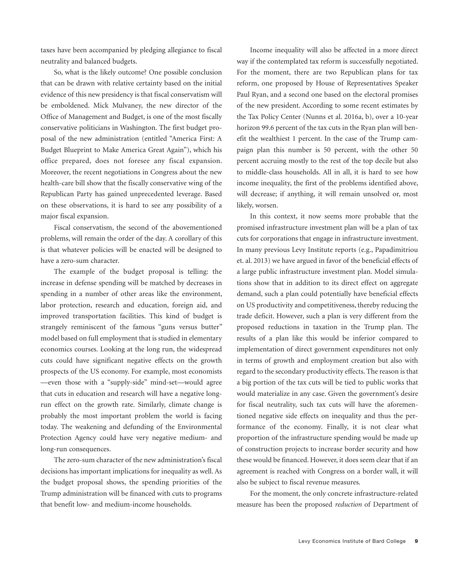taxes have been accompanied by pledging allegiance to fiscal neutrality and balanced budgets.

So, what is the likely outcome? One possible conclusion that can be drawn with relative certainty based on the initial evidence of this new presidency is that fiscal conservatism will be emboldened. Mick Mulvaney, the new director of the Office of Management and Budget, is one of the most fiscally conservative politicians in Washington. The first budget proposal of the new administration (entitled "America First: A Budget Blueprint to Make America Great Again"), which his office prepared, does not foresee any fiscal expansion. Moreover, the recent negotiations in Congress about the new health-care bill show that the fiscally conservative wing of the Republican Party has gained unprecedented leverage. Based on these observations, it is hard to see any possibility of a major fiscal expansion.

Fiscal conservatism, the second of the abovementioned problems, will remain the order of the day. A corollary of this is that whatever policies will be enacted will be designed to have a zero-sum character.

The example of the budget proposal is telling: the increase in defense spending will be matched by decreases in spending in a number of other areas like the environment, labor protection, research and education, foreign aid, and improved transportation facilities. This kind of budget is strangely reminiscent of the famous "guns versus butter" model based on full employment that is studied in elementary economics courses. Looking at the long run, the widespread cuts could have significant negative effects on the growth prospects of the US economy. For example, most economists —even those with a "supply-side" mind-set—would agree that cuts in education and research will have a negative longrun effect on the growth rate. Similarly, climate change is probably the most important problem the world is facing today. The weakening and defunding of the Environmental Protection Agency could have very negative medium- and long-run consequences.

The zero-sum character of the new administration's fiscal decisions has important implications for inequality as well. As the budget proposal shows, the spending priorities of the Trump administration will be financed with cuts to programs that benefit low- and medium-income households.

Income inequality will also be affected in a more direct way if the contemplated tax reform is successfully negotiated. For the moment, there are two Republican plans for tax reform, one proposed by House of Representatives Speaker Paul Ryan, and a second one based on the electoral promises of the new president. According to some recent estimates by the Tax Policy Center (Nunns et al. 2016a, b), over a 10-year horizon 99.6 percent of the tax cuts in the Ryan plan will benefit the wealthiest 1 percent. In the case of the Trump campaign plan this number is 50 percent, with the other 50 percent accruing mostly to the rest of the top decile but also to middle-class households. All in all, it is hard to see how income inequality, the first of the problems identified above, will decrease; if anything, it will remain unsolved or, most likely, worsen.

In this context, it now seems more probable that the promised infrastructure investment plan will be a plan of tax cuts for corporations that engage in infrastructure investment. In many previous Levy Institute reports (e.g., Papadimitriou et. al. 2013) we have argued in favor of the beneficial effects of a large public infrastructure investment plan. Model simulations show that in addition to its direct effect on aggregate demand, such a plan could potentially have beneficial effects on US productivity and competitiveness, thereby reducing the trade deficit. However, such a plan is very different from the proposed reductions in taxation in the Trump plan. The results of a plan like this would be inferior compared to implementation of direct government expenditures not only in terms of growth and employment creation but also with regard to the secondary productivity effects. The reason is that a big portion of the tax cuts will be tied to public works that would materialize in any case. Given the government's desire for fiscal neutrality, such tax cuts will have the aforementioned negative side effects on inequality and thus the performance of the economy. Finally, it is not clear what proportion of the infrastructure spending would be made up of construction projects to increase border security and how these would be financed. However, it does seem clear that if an agreement is reached with Congress on a border wall, it will also be subject to fiscal revenue measures.

For the moment, the only concrete infrastructure-related measure has been the proposed *reduction* of Department of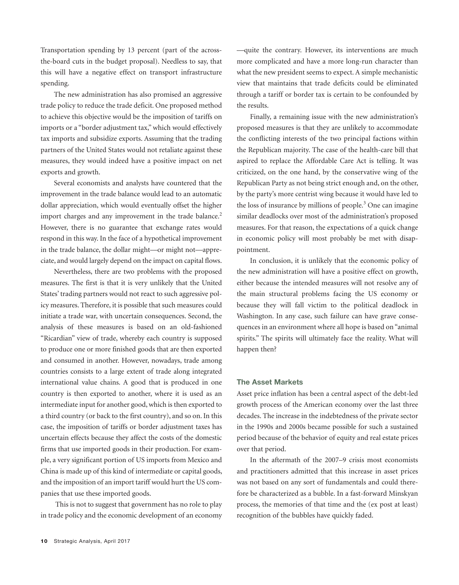Transportation spending by 13 percent (part of the acrossthe-board cuts in the budget proposal). Needless to say, that this will have a negative effect on transport infrastructure spending.

The new administration has also promised an aggressive trade policy to reduce the trade deficit. One proposed method to achieve this objective would be the imposition of tariffs on imports or a "border adjustment tax," which would effectively tax imports and subsidize exports. Assuming that the trading partners of the United States would not retaliate against these measures, they would indeed have a positive impact on net exports and growth.

Several economists and analysts have countered that the improvement in the trade balance would lead to an automatic dollar appreciation, which would eventually offset the higher import charges and any improvement in the trade balance.<sup>2</sup> However, there is no guarantee that exchange rates would respond in this way. In the face of a hypothetical improvement in the trade balance, the dollar might—or might not—appreciate, and would largely depend on the impact on capital flows.

Nevertheless, there are two problems with the proposed measures. The first is that it is very unlikely that the United States' trading partners would not react to such aggressive policy measures. Therefore, it is possible that such measures could initiate a trade war, with uncertain consequences. Second, the analysis of these measures is based on an old-fashioned "Ricardian" view of trade, whereby each country is supposed to produce one or more finished goods that are then exported and consumed in another. However, nowadays, trade among countries consists to a large extent of trade along integrated international value chains. A good that is produced in one country is then exported to another, where it is used as an intermediate input for another good,which is then exported to a third country (or back to the first country), and so on. In this case, the imposition of tariffs or border adjustment taxes has uncertain effects because they affect the costs of the domestic firms that use imported goods in their production. For example, a very significant portion of US imports from Mexico and China is made up of this kind of intermediate or capital goods, and the imposition of an import tariff would hurt the US companies that use these imported goods.

This is not to suggest that government has no role to play in trade policy and the economic development of an economy

—quite the contrary. However, its interventions are much more complicated and have a more long-run character than what the new president seems to expect. A simple mechanistic view that maintains that trade deficits could be eliminated through a tariff or border tax is certain to be confounded by the results.

Finally, a remaining issue with the new administration's proposed measures is that they are unlikely to accommodate the conflicting interests of the two principal factions within the Republican majority. The case of the health-care bill that aspired to replace the Affordable Care Act is telling. It was criticized, on the one hand, by the conservative wing of the Republican Party as not being strict enough and, on the other, by the party's more centrist wing because it would have led to the loss of insurance by millions of people. <sup>3</sup> One can imagine similar deadlocks over most of the administration's proposed measures. For that reason, the expectations of a quick change in economic policy will most probably be met with disappointment.

In conclusion, it is unlikely that the economic policy of the new administration will have a positive effect on growth, either because the intended measures will not resolve any of the main structural problems facing the US economy or because they will fall victim to the political deadlock in Washington. In any case, such failure can have grave consequences in an environment where all hope is based on "animal spirits." The spirits will ultimately face the reality. What will happen then?

#### **The Asset Markets**

Asset price inflation has been a central aspect of the debt-led growth process of the American economy over the last three decades. The increase in the indebtedness of the private sector in the 1990s and 2000s became possible for such a sustained period because of the behavior of equity and real estate prices over that period.

In the aftermath of the 2007–9 crisis most economists and practitioners admitted that this increase in asset prices was not based on any sort of fundamentals and could therefore be characterized as a bubble. In a fast-forward Minskyan process, the memories of that time and the (ex post at least) recognition of the bubbles have quickly faded.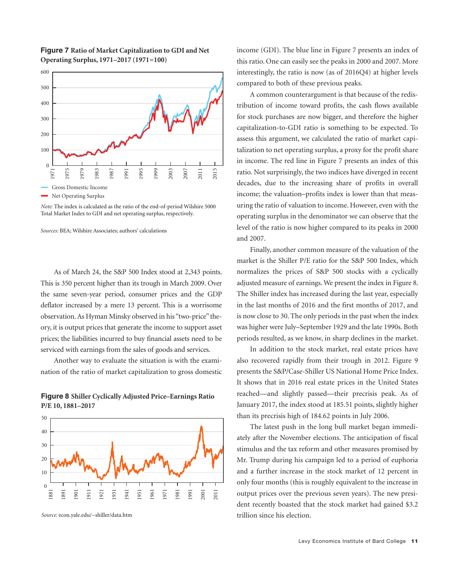

**Figure 7 Ratio of Market Capitalization to GDI and Net Operating Surplus, 1971–2017 (1971=100)**

*Note:* The index is calculated as the ratio of the end-of-period Wilshire 5000 Total Market Index to GDI and net operating surplus, respectively.

*Sources:* BEA; Wilshire Associates; authors' calculations

As of March 24, the S&P 500 Index stood at 2,343 points. This is 350 percent higher than its trough in March 2009. Over the same seven-year period, consumer prices and the GDP deflator increased by a mere 13 percent. This is a worrisome observation.As Hyman Minsky observed in his "two-price" theory, it is output prices that generate the income to support asset prices; the liabilities incurred to buy financial assets need to be serviced with earnings from the sales of goods and services.

Another way to evaluate the situation is with the examination of the ratio of market capitalization to gross domestic

**Figure 8 Shiller Cyclically Adjusted Price–Earnings Ratio P/E 10, 1881–2017** 



*Source:* econ.yale.edu/~shiller/data.htm

income (GDI). The blue line in Figure 7 presents an index of this ratio. One can easily see the peaks in 2000 and 2007. More interestingly, the ratio is now (as of 2016Q4) at higher levels compared to both of these previous peaks.

A common counterargument is that because of the redistribution of income toward profits, the cash flows available for stock purchases are now bigger, and therefore the higher capitalization-to-GDI ratio is something to be expected. To assess this argument, we calculated the ratio of market capitalization to net operating surplus, a proxy for the profit share in income. The red line in Figure 7 presents an index of this ratio. Not surprisingly, the two indices have diverged in recent decades, due to the increasing share of profits in overall income; the valuation–profits index is lower than that measuring the ratio of valuation to income. However, even with the operating surplus in the denominator we can observe that the level of the ratio is now higher compared to its peaks in 2000 and 2007.

Finally, another common measure of the valuation of the market is the Shiller P/E ratio for the S&P 500 Index, which normalizes the prices of S&P 500 stocks with a cyclically adjusted measure of earnings. We present the index in Figure 8. The Shiller index has increased during the last year, especially in the last months of 2016 and the first months of 2017, and is now close to 30. The only periods in the past when the index was higher were July–September 1929 and the late 1990s. Both periods resulted, as we know, in sharp declines in the market.

In addition to the stock market, real estate prices have also recovered rapidly from their trough in 2012. Figure 9 presents the S&P/Case-Shiller US National Home Price Index. It shows that in 2016 real estate prices in the United States reached—and slightly passed—their precrisis peak. As of January 2017, the index stood at 185.51 points, slightly higher than its precrisis high of 184.62 points in July 2006.

The latest push in the long bull market began immediately after the November elections. The anticipation of fiscal stimulus and the tax reform and other measures promised by Mr. Trump during his campaign led to a period of euphoria and a further increase in the stock market of 12 percent in only four months (this is roughly equivalent to the increase in output prices over the previous seven years). The new president recently boasted that the stock market had gained \$3.2 trillion since his election.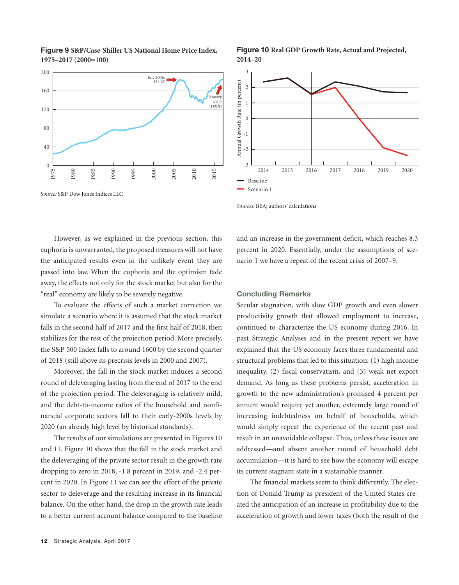

**Figure 9 S&P/Case-Shiller US National Home Price Index, 1975–2017 (2000=100)**

*Source:* S&P Dow Jones Indices LLC

**Figure 10 Real GDP Growth Rate, Actual and Projected, 2014–20**



*Sources:* BEA; authors' calculations

However, as we explained in the previous section, this euphoria is unwarranted, the proposed measures will not have the anticipated results even in the unlikely event they are passed into law. When the euphoria and the optimism fade away, the effects not only for the stock market but also for the "real" economy are likely to be severely negative.

To evaluate the effects of such a market correction we simulate a scenario where it is assumed that the stock market falls in the second half of 2017 and the first half of 2018, then stabilizes for the rest of the projection period. More precisely, the S&P 500 Index falls to around 1600 by the second quarter of 2018 (still above its precrisis levels in 2000 and 2007).

Moreover, the fall in the stock market induces a second round of deleveraging lasting from the end of 2017 to the end of the projection period. The deleveraging is relatively mild, and the debt-to-income ratios of the household and nonfinancial corporate sectors fall to their early-2000s levels by 2020 (an already high level by historical standards).

The results of our simulations are presented in Figures 10 and 11. Figure 10 shows that the fall in the stock market and the deleveraging of the private sector result in the growth rate dropping to zero in 2018, -1.8 percent in 2019, and -2.4 percent in 2020. In Figure 11 we can see the effort of the private sector to deleverage and the resulting increase in its financial balance. On the other hand, the drop in the growth rate leads to a better current account balance compared to the baseline

and an increase in the government deficit, which reaches 8.3 percent in 2020. Essentially, under the assumptions of scenario 1 we have a repeat of the recent crisis of 2007–9.

#### **Concluding Remarks**

Secular stagnation, with slow GDP growth and even slower productivity growth that allowed employment to increase, continued to characterize the US economy during 2016. In past Strategic Analyses and in the present report we have explained that the US economy faces three fundamental and structural problems that led to this situation: (1) high income inequality, (2) fiscal conservatism, and (3) weak net export demand. As long as these problems persist, acceleration in growth to the new administration's promised 4 percent per annum would require yet another, extremely large round of increasing indebtedness on behalf of households, which would simply repeat the experience of the recent past and result in an unavoidable collapse. Thus, unless these issues are addressed—and absent another round of household debt accumulation—it is hard to see how the economy will escape its current stagnant state in a sustainable manner.

The financial markets seem to think differently. The election of Donald Trump as president of the United States created the anticipation of an increase in profitability due to the acceleration of growth and lower taxes (both the result of the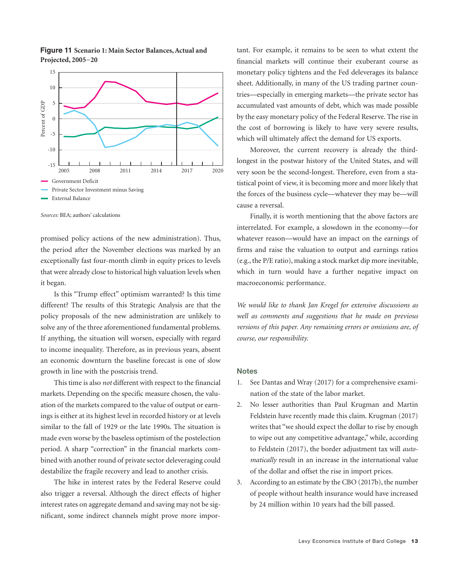

**Figure 11 Scenario 1: Main Sector Balances, Actual and Projected, 2005−20**

*Sources:* BEA; authors' calculations

promised policy actions of the new administration). Thus, the period after the November elections was marked by an exceptionally fast four-month climb in equity prices to levels that were already close to historical high valuation levels when it began.

Is this "Trump effect" optimism warranted? Is this time different? The results of this Strategic Analysis are that the policy proposals of the new administration are unlikely to solve any of the three aforementioned fundamental problems. If anything, the situation will worsen, especially with regard to income inequality. Therefore, as in previous years, absent an economic downturn the baseline forecast is one of slow growth in line with the postcrisis trend.

This time is also *not* different with respect to the financial markets. Depending on the specific measure chosen, the valuation of the markets compared to the value of output or earnings is either at its highest level in recorded history or at levels similar to the fall of 1929 or the late 1990s. The situation is made even worse by the baseless optimism of the postelection period. A sharp "correction" in the financial markets combined with another round of private sector deleveraging could destabilize the fragile recovery and lead to another crisis.

The hike in interest rates by the Federal Reserve could also trigger a reversal. Although the direct effects of higher interest rates on aggregate demand and saving may not be significant, some indirect channels might prove more impor-

tant. For example, it remains to be seen to what extent the financial markets will continue their exuberant course as monetary policy tightens and the Fed deleverages its balance sheet. Additionally, in many of the US trading partner countries—especially in emerging markets—the private sector has accumulated vast amounts of debt, which was made possible by the easy monetary policy of the Federal Reserve. The rise in the cost of borrowing is likely to have very severe results, which will ultimately affect the demand for US exports.

Moreover, the current recovery is already the thirdlongest in the postwar history of the United States, and will very soon be the second-longest. Therefore, even from a statistical point of view, it is becoming more and more likely that the forces of the business cycle—whatever they may be—will cause a reversal.

Finally, it is worth mentioning that the above factors are interrelated. For example, a slowdown in the economy—for whatever reason—would have an impact on the earnings of firms and raise the valuation to output and earnings ratios (e.g., the P/E ratio), making a stock market dip more inevitable, which in turn would have a further negative impact on macroeconomic performance.

*We would like to thank Jan Kregel for extensive discussions as well as comments and suggestions that he made on previous versions of this paper. Any remaining errors or omissions are, of course, our responsibility.*

#### **Notes**

- 1. See Dantas and Wray (2017) for a comprehensive examination of the state of the labor market.
- 2. No lesser authorities than Paul Krugman and Martin Feldstein have recently made this claim. Krugman (2017) writes that "we should expect the dollar to rise by enough to wipe out any competitive advantage," while, according to Feldstein (2017), the border adjustment tax will *automatically* result in an increase in the international value of the dollar and offset the rise in import prices.
- 3. According to an estimate by the CBO (2017b), the number of people without health insurance would have increased by 24 million within 10 years had the bill passed.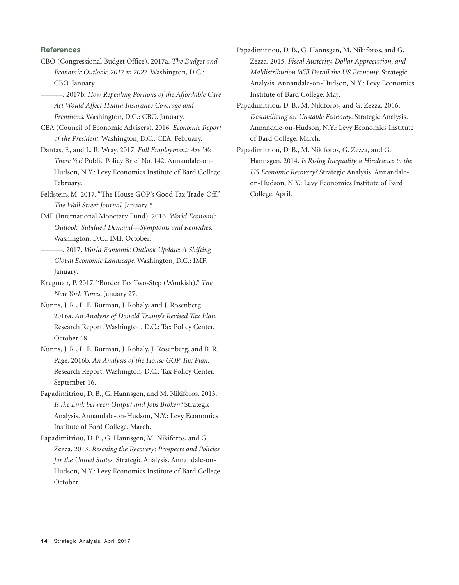#### **References**

- CBO (Congressional Budget Office). 2017a. *The Budget and Economic Outlook: 2017 to 2027*. Washington, D.C.: CBO. January.
	- ———. 2017b. *How Repealing Portions of the Affordable Care Act Would Affect Health Insurance Coverage and Premiums*. Washington, D.C.: CBO. January.
- CEA (Council of Economic Advisers). 2016. *Economic Report of the President*. Washington, D.C.: CEA. February.
- Dantas, F., and L. R. Wray. 2017. *Full Employment: Are We There Yet?* Public Policy Brief No. 142. Annandale-on-Hudson, N.Y.: Levy Economics Institute of Bard College. February.
- Feldstein, M. 2017. "The House GOP's Good Tax Trade-Off." *The Wall Street Journal*, January 5.
- IMF (International Monetary Fund). 2016. *World Economic Outlook: Subdued Demand—Symptoms and Remedies*. Washington, D.C.: IMF. October.
	- ———. 2017. *World Economic Outlook Update: A Shifting Global Economic Landscape*. Washington, D.C.: IMF. January.
- Krugman, P. 2017. "Border Tax Two-Step (Wonkish)." *The New York Times*, January 27.
- Nunns, J. R., L. E. Burman, J. Rohaly, and J. Rosenberg. 2016a. *An Analysis of Donald Trump's Revised Tax Plan*. Research Report. Washington, D.C.: Tax Policy Center. October 18.
- Nunns, J. R., L. E. Burman, J. Rohaly, J. Rosenberg, and B. R. Page. 2016b. *An Analysis of the House GOP Tax Plan*. Research Report. Washington, D.C.: Tax Policy Center. September 16.
- Papadimitriou, D. B., G. Hannsgen, and M. Nikiforos. 2013. *Is the Link between Output and Jobs Broken?* Strategic Analysis. Annandale-on-Hudson, N.Y.: Levy Economics Institute of Bard College. March.
- Papadimitriou, D. B., G. Hannsgen, M. Nikiforos, and G. Zezza. 2013. *Rescuing the Recovery: Prospects and Policies for the United States.* Strategic Analysis. Annandale-on-Hudson, N.Y.: Levy Economics Institute of Bard College. October.
- Papadimitriou, D. B., G. Hannsgen, M. Nikiforos, and G. Zezza. 2015. *Fiscal Austerity, Dollar Appreciation, and Maldistribution Will Derail the US Economy*. Strategic Analysis. Annandale-on-Hudson, N.Y.: Levy Economics Institute of Bard College. May.
- Papadimitriou, D. B., M. Nikiforos, and G. Zezza. 2016. *Destabilizing an Unstable Economy*. Strategic Analysis. Annandale-on-Hudson, N.Y.: Levy Economics Institute of Bard College. March.
- Papadimitriou, D. B., M. Nikiforos, G. Zezza, and G. Hannsgen. 2014. *Is Rising Inequality a Hindrance to the US Economic Recovery?* Strategic Analysis. Annandaleon-Hudson, N.Y.: Levy Economics Institute of Bard College. April.